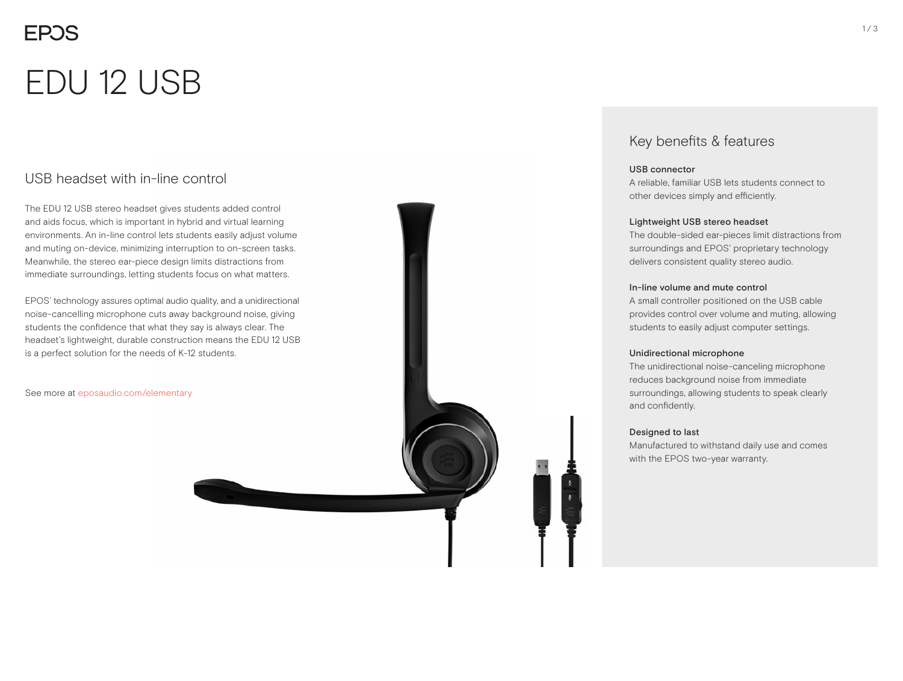# **EPOS**

# EDU 12 USB

### USB headset with in-line control

The EDU 12 USB stereo headset gives students added control and aids focus, which is important in hybrid and virtual learning environments. An in-line control lets students easily adjust volume and muting on-device, minimizing interruption to on-screen tasks. Meanwhile, the stereo ear-piece design limits distractions from immediate surroundings, letting students focus on what matters.

EPOS' technology assures optimal audio quality, and a unidirectional noise-cancelling microphone cuts away background noise, giving students the confidence that what they say is always clear. The headset's lightweight, durable construction means the EDU 12 USB is a perfect solution for the needs of K-12 students.

See more at eposaudio.com/elementary

### Key benefits & features

#### USB connector

A reliable, familiar USB lets students connect to other devices simply and efficiently.

#### Lightweight USB stereo headset

The double-sided ear-pieces limit distractions from surroundings and EPOS' proprietary technology delivers consistent quality stereo audio.

#### In-line volume and mute control

A small controller positioned on the USB cable provides control over volume and muting, allowing students to easily adjust computer settings.

#### Unidirectional microphone

The unidirectional noise-canceling microphone reduces background noise from immediate surroundings, allowing students to speak clearly and confidently.

#### Designed to last

Manufactured to withstand daily use and comes with the EPOS two-year warranty.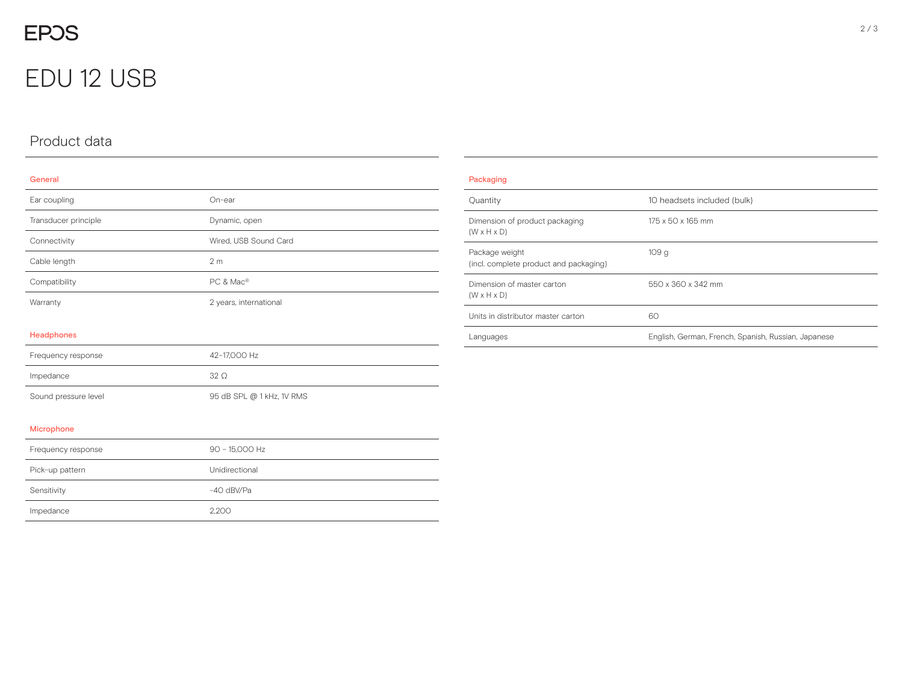# EDU 12 USB

## Product data

#### General

| Ear coupling         | On-ear                    |
|----------------------|---------------------------|
| Transducer principle | Dynamic, open             |
| Connectivity         | Wired, USB Sound Card     |
| Cable length         | 2 <sub>m</sub>            |
| Compatibility        | PC & Mac®                 |
| Warranty             | 2 years, international    |
| <b>Headphones</b>    |                           |
| Frequency response   | 42-17,000 Hz              |
| Impedance            | $32\Omega$                |
| Sound pressure level | 95 dB SPL @ 1 kHz, 1V RMS |
| Microphone           |                           |
| Frequency response   | 90 - 15,000 Hz            |
| Pick-up pattern      | Unidirectional            |
| Sensitivity          | -40 dBV/Pa                |
| Impedance            | 2,200                     |

| Packaging                                                 |                                                     |  |
|-----------------------------------------------------------|-----------------------------------------------------|--|
| Quantity                                                  | 10 headsets included (bulk)                         |  |
| Dimension of product packaging<br>$(W \times H \times D)$ | 175 x 50 x 165 mm                                   |  |
| Package weight<br>(incl. complete product and packaging)  | 109q                                                |  |
| Dimension of master carton<br>$(W \times H \times D)$     | 550 x 360 x 342 mm                                  |  |
| Units in distributor master carton                        | 60                                                  |  |
| Languages                                                 | English, German, French, Spanish, Russian, Japanese |  |